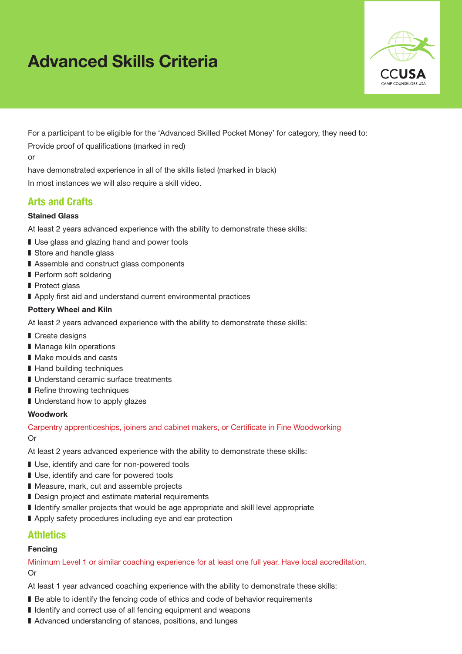# Advanced Skills Criteria



For a participant to be eligible for the 'Advanced Skilled Pocket Money' for category, they need to:

Provide proof of qualifications (marked in red)

or

have demonstrated experience in all of the skills listed (marked in black)

In most instances we will also require a skill video.

# Arts and Crafts

#### Stained Glass

At least 2 years advanced experience with the ability to demonstrate these skills:

- Use glass and glazing hand and power tools
- Store and handle glass
- Assemble and construct glass components
- Perform soft soldering
- Protect glass
- Apply first aid and understand current environmental practices

#### Pottery Wheel and Kiln

At least 2 years advanced experience with the ability to demonstrate these skills:

- Create designs
- Manage kiln operations
- Make moulds and casts
- Hand building techniques
- Understand ceramic surface treatments
- Refine throwing techniques
- Understand how to apply glazes

#### Woodwork

Carpentry apprenticeships, joiners and cabinet makers, or Certificate in Fine Woodworking Or

At least 2 years advanced experience with the ability to demonstrate these skills:

- Use, identify and care for non-powered tools
- Use, identify and care for powered tools
- Measure, mark, cut and assemble projects
- Design project and estimate material requirements
- Identify smaller projects that would be age appropriate and skill level appropriate
- Apply safety procedures including eye and ear protection

# **Athletics**

#### Fencing

Minimum Level 1 or similar coaching experience for at least one full year. Have local accreditation. Or

- Be able to identify the fencing code of ethics and code of behavior requirements
- Identify and correct use of all fencing equipment and weapons
- Advanced understanding of stances, positions, and lunges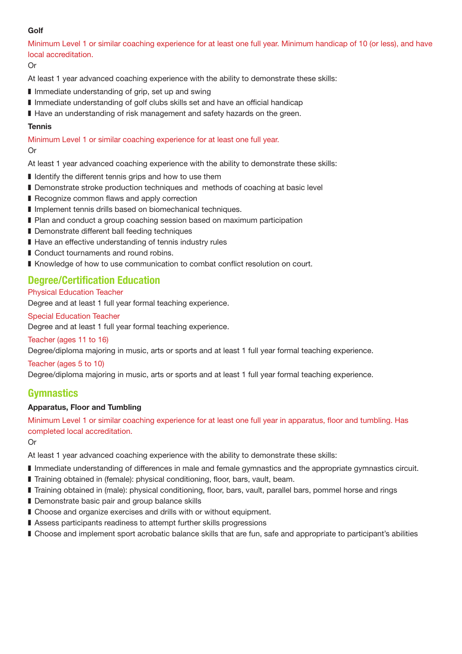## Golf

Minimum Level 1 or similar coaching experience for at least one full year. Minimum handicap of 10 (or less), and have local accreditation.

#### Or

At least 1 year advanced coaching experience with the ability to demonstrate these skills:

- Immediate understanding of grip, set up and swing
- Immediate understanding of golf clubs skills set and have an official handicap
- Have an understanding of risk management and safety hazards on the green.

#### **Tennis**

Minimum Level 1 or similar coaching experience for at least one full year. Or

At least 1 year advanced coaching experience with the ability to demonstrate these skills:

- Identify the different tennis grips and how to use them
- Demonstrate stroke production techniques and methods of coaching at basic level
- Recognize common flaws and apply correction
- Implement tennis drills based on biomechanical techniques.
- Plan and conduct a group coaching session based on maximum participation
- Demonstrate different ball feeding techniques
- Have an effective understanding of tennis industry rules
- Conduct tournaments and round robins.
- Knowledge of how to use communication to combat conflict resolution on court.

# Degree/Certification Education

#### Physical Education Teacher

Degree and at least 1 full year formal teaching experience.

#### Special Education Teacher

Degree and at least 1 full year formal teaching experience.

Teacher (ages 11 to 16)

Degree/diploma majoring in music, arts or sports and at least 1 full year formal teaching experience.

#### Teacher (ages 5 to 10)

Degree/diploma majoring in music, arts or sports and at least 1 full year formal teaching experience.

## Gymnastics

#### Apparatus, Floor and Tumbling

Minimum Level 1 or similar coaching experience for at least one full year in apparatus, floor and tumbling. Has completed local accreditation.

Or

- Immediate understanding of differences in male and female gymnastics and the appropriate gymnastics circuit.
- Training obtained in (female): physical conditioning, floor, bars, vault, beam.
- Training obtained in (male): physical conditioning, floor, bars, vault, parallel bars, pommel horse and rings
- Demonstrate basic pair and group balance skills
- Choose and organize exercises and drills with or without equipment.
- Assess participants readiness to attempt further skills progressions
- Choose and implement sport acrobatic balance skills that are fun, safe and appropriate to participant's abilities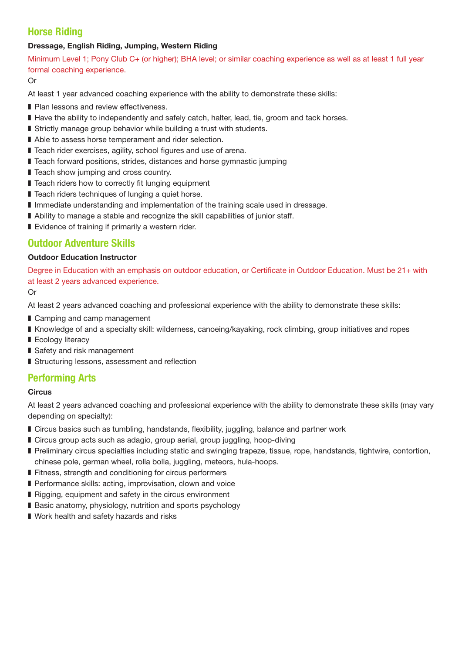# Horse Riding

## Dressage, English Riding, Jumping, Western Riding

Minimum Level 1; Pony Club C+ (or higher); BHA level; or similar coaching experience as well as at least 1 full year formal coaching experience.

Or

At least 1 year advanced coaching experience with the ability to demonstrate these skills:

- Plan lessons and review effectiveness.
- Have the ability to independently and safely catch, halter, lead, tie, groom and tack horses.
- Strictly manage group behavior while building a trust with students.
- Able to assess horse temperament and rider selection.
- Teach rider exercises, agility, school figures and use of arena.
- Teach forward positions, strides, distances and horse gymnastic jumping
- Teach show jumping and cross country.
- Teach riders how to correctly fit lunging equipment
- Teach riders techniques of lunging a quiet horse.
- Immediate understanding and implementation of the training scale used in dressage.
- Ability to manage a stable and recognize the skill capabilities of junior staff.
- Evidence of training if primarily a western rider.

# Outdoor Adventure Skills

## Outdoor Education Instructor

Degree in Education with an emphasis on outdoor education, or Certificate in Outdoor Education. Must be 21+ with at least 2 years advanced experience.

Or

At least 2 years advanced coaching and professional experience with the ability to demonstrate these skills:

- Camping and camp management
- Knowledge of and a specialty skill: wilderness, canoeing/kayaking, rock climbing, group initiatives and ropes
- Ecology literacy
- Safety and risk management
- Structuring lessons, assessment and reflection

# Performing Arts

#### **Circus**

At least 2 years advanced coaching and professional experience with the ability to demonstrate these skills (may vary depending on specialty):

- Circus basics such as tumbling, handstands, flexibility, juggling, balance and partner work
- Circus group acts such as adagio, group aerial, group juggling, hoop-diving
- Preliminary circus specialties including static and swinging trapeze, tissue, rope, handstands, tightwire, contortion, chinese pole, german wheel, rolla bolla, juggling, meteors, hula-hoops.
- Fitness, strength and conditioning for circus performers
- Performance skills: acting, improvisation, clown and voice
- Rigging, equipment and safety in the circus environment
- Basic anatomy, physiology, nutrition and sports psychology
- Work health and safety hazards and risks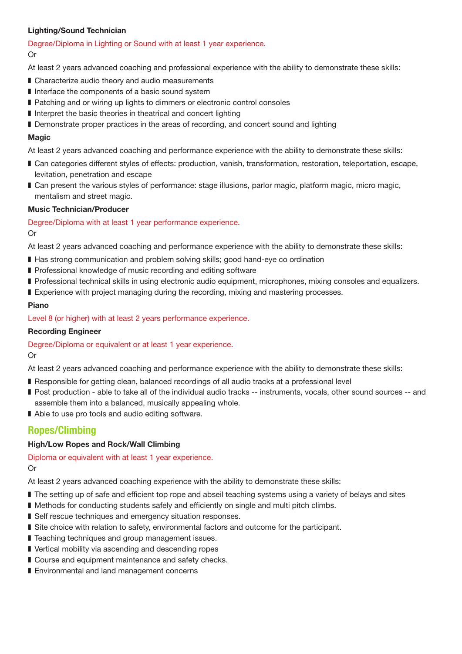## Lighting/Sound Technician

#### Degree/Diploma in Lighting or Sound with at least 1 year experience.

#### Or

At least 2 years advanced coaching and professional experience with the ability to demonstrate these skills:

- Characterize audio theory and audio measurements
- Interface the components of a basic sound system
- Patching and or wiring up lights to dimmers or electronic control consoles
- Interpret the basic theories in theatrical and concert lighting
- Demonstrate proper practices in the areas of recording, and concert sound and lighting

#### Magic

At least 2 years advanced coaching and performance experience with the ability to demonstrate these skills:

- Can categories different styles of effects: production, vanish, transformation, restoration, teleportation, escape, levitation, penetration and escape
- Can present the various styles of performance: stage illusions, parlor magic, platform magic, micro magic, mentalism and street magic.

#### Music Technician/Producer

Degree/Diploma with at least 1 year performance experience.

#### Or

At least 2 years advanced coaching and performance experience with the ability to demonstrate these skills:

- Has strong communication and problem solving skills; good hand-eye co ordination
- Professional knowledge of music recording and editing software
- Professional technical skills in using electronic audio equipment, microphones, mixing consoles and equalizers.
- Experience with project managing during the recording, mixing and mastering processes.

## Piano

Level 8 (or higher) with at least 2 years performance experience.

#### Recording Engineer

Degree/Diploma or equivalent or at least 1 year experience.

Or

At least 2 years advanced coaching and performance experience with the ability to demonstrate these skills:

- Responsible for getting clean, balanced recordings of all audio tracks at a professional level
- Post production able to take all of the individual audio tracks -- instruments, vocals, other sound sources -- and assemble them into a balanced, musically appealing whole.
- Able to use pro tools and audio editing software.

# Ropes/Climbing

## High/Low Ropes and Rock/Wall Climbing

Diploma or equivalent with at least 1 year experience. Or

- The setting up of safe and efficient top rope and abseil teaching systems using a variety of belays and sites
- Methods for conducting students safely and efficiently on single and multi pitch climbs.
- Self rescue techniques and emergency situation responses.
- Site choice with relation to safety, environmental factors and outcome for the participant.
- Teaching techniques and group management issues.
- Vertical mobility via ascending and descending ropes
- Course and equipment maintenance and safety checks.
- Environmental and land management concerns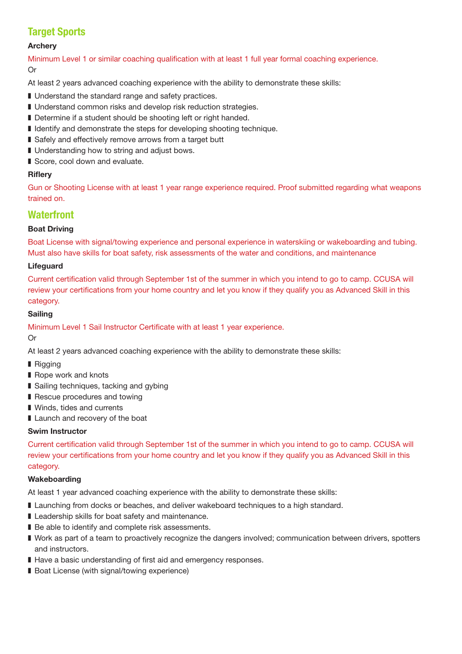# **Target Sports**

#### Archery

Minimum Level 1 or similar coaching qualification with at least 1 full year formal coaching experience. Or

At least 2 years advanced coaching experience with the ability to demonstrate these skills:

- Understand the standard range and safety practices.
- Understand common risks and develop risk reduction strategies.
- Determine if a student should be shooting left or right handed.
- Identify and demonstrate the steps for developing shooting technique.
- Safely and effectively remove arrows from a target butt
- Understanding how to string and adjust bows.
- Score, cool down and evaluate.

## **Riflerv**

Gun or Shooting License with at least 1 year range experience required. Proof submitted regarding what weapons trained on.

# **Waterfront**

## Boat Driving

Boat License with signal/towing experience and personal experience in waterskiing or wakeboarding and tubing. Must also have skills for boat safety, risk assessments of the water and conditions, and maintenance

## Lifeguard

Current certification valid through September 1st of the summer in which you intend to go to camp. CCUSA will review your certifications from your home country and let you know if they qualify you as Advanced Skill in this category.

#### Sailing

Minimum Level 1 Sail Instructor Certificate with at least 1 year experience.

#### Or

At least 2 years advanced coaching experience with the ability to demonstrate these skills:

- **Rigging**
- Rope work and knots
- Sailing techniques, tacking and gybing
- Rescue procedures and towing
- Winds, tides and currents
- Launch and recovery of the boat

#### Swim Instructor

Current certification valid through September 1st of the summer in which you intend to go to camp. CCUSA will review your certifications from your home country and let you know if they qualify you as Advanced Skill in this category.

#### Wakeboarding

- Launching from docks or beaches, and deliver wakeboard techniques to a high standard.
- Leadership skills for boat safety and maintenance.
- Be able to identify and complete risk assessments.
- Work as part of a team to proactively recognize the dangers involved; communication between drivers, spotters and instructors.
- Have a basic understanding of first aid and emergency responses.
- Boat License (with signal/towing experience)